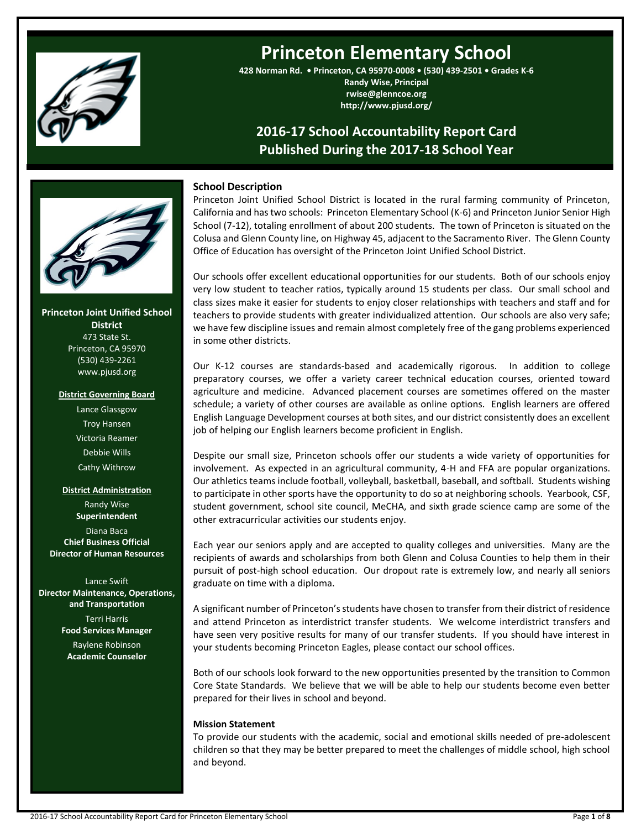

# **Princeton Elementary School**

**428 Norman Rd. • Princeton, CA 95970-0008 • (530) 439-2501 • Grades K-6 Randy Wise, Principal rwise@glenncoe.org http://www.pjusd.org/**

## **2016-17 School Accountability Report Card Published During the 2017-18 School Year**



**Princeton Joint Unified School District** 473 State St. Princeton, CA 95970 (530) 439-2261 www.pjusd.org

#### **District Governing Board**

Lance Glassgow Troy Hansen Victoria Reamer Debbie Wills Cathy Withrow

### **District Administration**

Randy Wise **Superintendent** Diana Baca **Chief Business Official Director of Human Resources**

Lance Swift **Director Maintenance, Operations, and Transportation** Terri Harris **Food Services Manager** Raylene Robinson **Academic Counselor**

#### **School Description**

Princeton Joint Unified School District is located in the rural farming community of Princeton, California and has two schools: Princeton Elementary School (K-6) and Princeton Junior Senior High School (7-12), totaling enrollment of about 200 students. The town of Princeton is situated on the Colusa and Glenn County line, on Highway 45, adjacent to the Sacramento River. The Glenn County Office of Education has oversight of the Princeton Joint Unified School District.

Our schools offer excellent educational opportunities for our students. Both of our schools enjoy very low student to teacher ratios, typically around 15 students per class. Our small school and class sizes make it easier for students to enjoy closer relationships with teachers and staff and for teachers to provide students with greater individualized attention. Our schools are also very safe; we have few discipline issues and remain almost completely free of the gang problems experienced in some other districts.

Our K-12 courses are standards-based and academically rigorous. In addition to college preparatory courses, we offer a variety career technical education courses, oriented toward agriculture and medicine. Advanced placement courses are sometimes offered on the master schedule; a variety of other courses are available as online options. English learners are offered English Language Development courses at both sites, and our district consistently does an excellent job of helping our English learners become proficient in English.

Despite our small size, Princeton schools offer our students a wide variety of opportunities for involvement. As expected in an agricultural community, 4-H and FFA are popular organizations. Our athletics teams include football, volleyball, basketball, baseball, and softball. Students wishing to participate in other sports have the opportunity to do so at neighboring schools. Yearbook, CSF, student government, school site council, MeCHA, and sixth grade science camp are some of the other extracurricular activities our students enjoy.

Each year our seniors apply and are accepted to quality colleges and universities. Many are the recipients of awards and scholarships from both Glenn and Colusa Counties to help them in their pursuit of post-high school education. Our dropout rate is extremely low, and nearly all seniors graduate on time with a diploma.

A significant number of Princeton's students have chosen to transfer from their district of residence and attend Princeton as interdistrict transfer students. We welcome interdistrict transfers and have seen very positive results for many of our transfer students. If you should have interest in your students becoming Princeton Eagles, please contact our school offices.

Both of our schools look forward to the new opportunities presented by the transition to Common Core State Standards. We believe that we will be able to help our students become even better prepared for their lives in school and beyond.

### **Mission Statement**

To provide our students with the academic, social and emotional skills needed of pre-adolescent children so that they may be better prepared to meet the challenges of middle school, high school and beyond.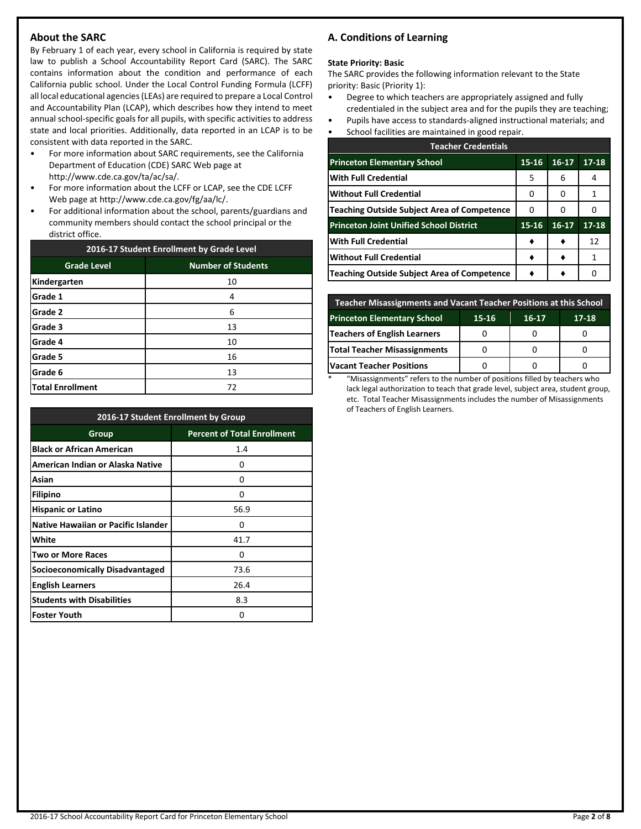## **About the SARC**

By February 1 of each year, every school in California is required by state law to publish a School Accountability Report Card (SARC). The SARC contains information about the condition and performance of each California public school. Under the Local Control Funding Formula (LCFF) all local educational agencies (LEAs) are required to prepare a Local Control and Accountability Plan (LCAP), which describes how they intend to meet annual school-specific goals for all pupils, with specific activities to address state and local priorities. Additionally, data reported in an LCAP is to be consistent with data reported in the SARC.

- For more information about SARC requirements, see the California Department of Education (CDE) SARC Web page at http://www.cde.ca.gov/ta/ac/sa/.
- For more information about the LCFF or LCAP, see the CDE LCFF Web page at http://www.cde.ca.gov/fg/aa/lc/.
- For additional information about the school, parents/guardians and community members should contact the school principal or the district office.

| 2016-17 Student Enrollment by Grade Level |                           |  |  |  |
|-------------------------------------------|---------------------------|--|--|--|
| <b>Grade Level</b>                        | <b>Number of Students</b> |  |  |  |
| Kindergarten                              | 10                        |  |  |  |
| Grade 1                                   | 4                         |  |  |  |
| Grade 2                                   | 6                         |  |  |  |
| Grade 3                                   | 13                        |  |  |  |
| Grade 4                                   | 10                        |  |  |  |
| Grade 5                                   | 16                        |  |  |  |
| Grade 6                                   | 13                        |  |  |  |
| <b>Total Enrollment</b>                   | 72                        |  |  |  |

| 2016-17 Student Enrollment by Group        |                                    |  |  |
|--------------------------------------------|------------------------------------|--|--|
| Group                                      | <b>Percent of Total Enrollment</b> |  |  |
| <b>Black or African American</b>           | 1.4                                |  |  |
| American Indian or Alaska Native           | 0                                  |  |  |
| Asian                                      | Ω                                  |  |  |
| <b>Filipino</b>                            | O                                  |  |  |
| <b>Hispanic or Latino</b>                  | 56.9                               |  |  |
| <b>Native Hawaiian or Pacific Islander</b> | Ω                                  |  |  |
| White                                      | 41.7                               |  |  |
| <b>Two or More Races</b>                   | n                                  |  |  |
| Socioeconomically Disadvantaged            | 73.6                               |  |  |
| <b>English Learners</b>                    | 26.4                               |  |  |
| <b>Students with Disabilities</b>          | 8.3                                |  |  |
| <b>Foster Youth</b>                        | 0                                  |  |  |

## **A. Conditions of Learning**

#### **State Priority: Basic**

The SARC provides the following information relevant to the State priority: Basic (Priority 1):

- Degree to which teachers are appropriately assigned and fully credentialed in the subject area and for the pupils they are teaching;
- Pupils have access to standards-aligned instructional materials; and
- School facilities are maintained in good repair.

| <b>Teacher Credentials</b>                         |       |         |           |  |  |
|----------------------------------------------------|-------|---------|-----------|--|--|
| <b>Princeton Elementary School</b>                 | 15-16 | $16-17$ | $17 - 18$ |  |  |
| <b>With Full Credential</b>                        | 5     | 6       | 4         |  |  |
| <b>Without Full Credential</b>                     | O     | O       | 1         |  |  |
| <b>Teaching Outside Subject Area of Competence</b> | O     | O       |           |  |  |
| <b>Princeton Joint Unified School District</b>     | 15-16 | $16-17$ | $17 - 18$ |  |  |
| <b>With Full Credential</b>                        |       |         | 12        |  |  |
| <b>Without Full Credential</b>                     |       |         | 1         |  |  |
| <b>Teaching Outside Subject Area of Competence</b> |       |         |           |  |  |

| <b>Teacher Misassignments and Vacant Teacher Positions at this School</b> |  |  |  |  |  |  |  |
|---------------------------------------------------------------------------|--|--|--|--|--|--|--|
| <b>Princeton Elementary School</b><br>15-16<br>$17 - 18$<br>16-17         |  |  |  |  |  |  |  |
| Teachers of English Learners                                              |  |  |  |  |  |  |  |
| Total Teacher Misassignments                                              |  |  |  |  |  |  |  |
| <b>Vacant Teacher Positions</b>                                           |  |  |  |  |  |  |  |

\* "Misassignments" refers to the number of positions filled by teachers who lack legal authorization to teach that grade level, subject area, student group, etc. Total Teacher Misassignments includes the number of Misassignments of Teachers of English Learners.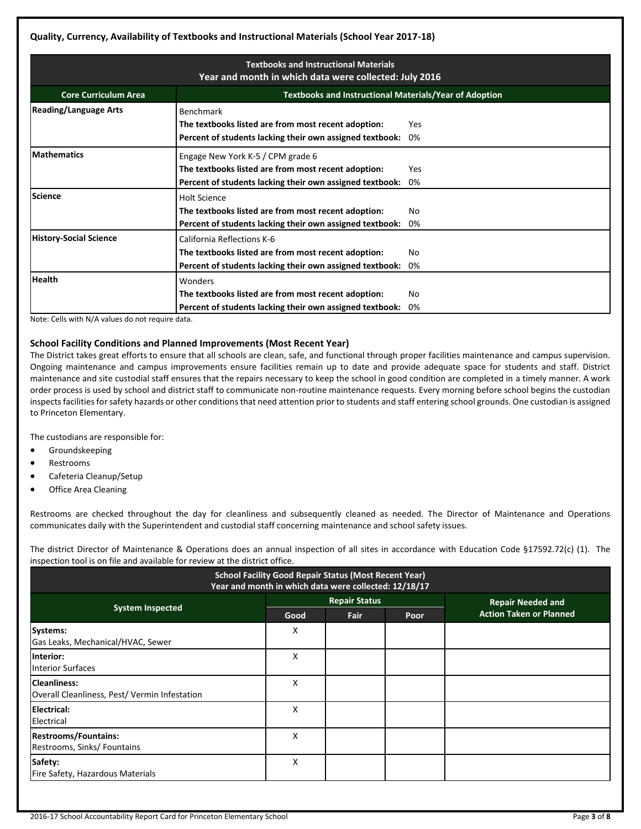| <b>Textbooks and Instructional Materials</b><br>Year and month in which data were collected: July 2016 |                                                                                                                                                      |           |  |  |  |
|--------------------------------------------------------------------------------------------------------|------------------------------------------------------------------------------------------------------------------------------------------------------|-----------|--|--|--|
| <b>Core Curriculum Area</b>                                                                            | <b>Textbooks and Instructional Materials/Year of Adoption</b>                                                                                        |           |  |  |  |
| <b>Reading/Language Arts</b>                                                                           | <b>Benchmark</b><br>The textbooks listed are from most recent adoption:<br>Percent of students lacking their own assigned textbook:                  | Yes<br>0% |  |  |  |
| <b>Mathematics</b>                                                                                     | Engage New York K-5 / CPM grade 6<br>The textbooks listed are from most recent adoption:<br>Percent of students lacking their own assigned textbook: | Yes<br>0% |  |  |  |
| <b>Science</b>                                                                                         | <b>Holt Science</b><br>The textbooks listed are from most recent adoption:<br>Percent of students lacking their own assigned textbook:               | No<br>0%  |  |  |  |
| <b>History-Social Science</b>                                                                          | California Reflections K-6<br>The textbooks listed are from most recent adoption:<br>Percent of students lacking their own assigned textbook:        | No<br>0%  |  |  |  |
| <b>Health</b>                                                                                          | Wonders<br>The textbooks listed are from most recent adoption:<br>Percent of students lacking their own assigned textbook:                           | No<br>0%  |  |  |  |

Note: Cells with N/A values do not require data.

### **School Facility Conditions and Planned Improvements (Most Recent Year)**

The District takes great efforts to ensure that all schools are clean, safe, and functional through proper facilities maintenance and campus supervision. Ongoing maintenance and campus improvements ensure facilities remain up to date and provide adequate space for students and staff. District maintenance and site custodial staff ensures that the repairs necessary to keep the school in good condition are completed in a timely manner. A work order process is used by school and district staff to communicate non-routine maintenance requests. Every morning before school begins the custodian inspects facilities for safety hazards or other conditions that need attention prior to students and staff entering school grounds. One custodian is assigned to Princeton Elementary.

The custodians are responsible for:

- **•** Groundskeeping
- Restrooms
- Cafeteria Cleanup/Setup
- Office Area Cleaning

Restrooms are checked throughout the day for cleanliness and subsequently cleaned as needed. The Director of Maintenance and Operations communicates daily with the Superintendent and custodial staff concerning maintenance and school safety issues.

The district Director of Maintenance & Operations does an annual inspection of all sites in accordance with Education Code §17592.72(c) (1). The inspection tool is on file and available for review at the district office.

| <b>School Facility Good Repair Status (Most Recent Year)</b><br>Year and month in which data were collected: 12/18/17 |      |                      |      |                                |  |  |
|-----------------------------------------------------------------------------------------------------------------------|------|----------------------|------|--------------------------------|--|--|
|                                                                                                                       |      | <b>Repair Status</b> |      | <b>Repair Needed and</b>       |  |  |
| <b>System Inspected</b>                                                                                               | Good | Fair                 | Poor | <b>Action Taken or Planned</b> |  |  |
| Systems:<br>Gas Leaks, Mechanical/HVAC, Sewer                                                                         | X    |                      |      |                                |  |  |
| Interior:<br><b>Interior Surfaces</b>                                                                                 | Χ    |                      |      |                                |  |  |
| <b>Cleanliness:</b><br>Overall Cleanliness, Pest/Vermin Infestation                                                   | x    |                      |      |                                |  |  |
| Electrical:<br>Electrical                                                                                             | X    |                      |      |                                |  |  |
| <b>Restrooms/Fountains:</b><br>Restrooms, Sinks/ Fountains                                                            | x    |                      |      |                                |  |  |
| Safety:<br>Fire Safety, Hazardous Materials                                                                           | X    |                      |      |                                |  |  |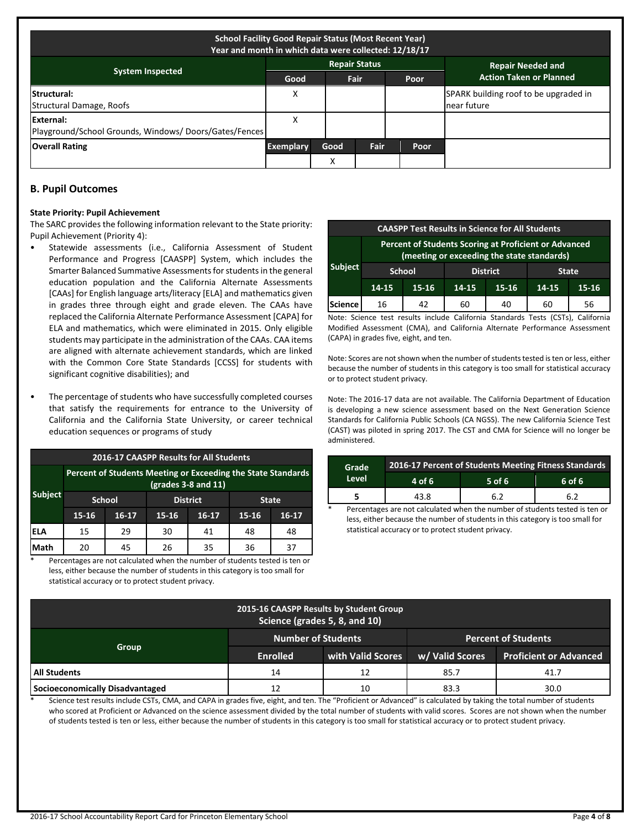| <b>School Facility Good Repair Status (Most Recent Year)</b><br>Year and month in which data were collected: 12/18/17 |                  |                   |                      |             |                                                      |  |  |
|-----------------------------------------------------------------------------------------------------------------------|------------------|-------------------|----------------------|-------------|------------------------------------------------------|--|--|
|                                                                                                                       |                  |                   | <b>Repair Status</b> |             | <b>Repair Needed and</b>                             |  |  |
| <b>System Inspected</b>                                                                                               | Good             |                   | Fair                 | Poor        | <b>Action Taken or Planned</b>                       |  |  |
| <b>Structural:</b><br>Structural Damage, Roofs                                                                        | X                |                   |                      |             | SPARK building roof to be upgraded in<br>near future |  |  |
| External:<br>Playground/School Grounds, Windows/ Doors/Gates/Fences                                                   | X                |                   |                      |             |                                                      |  |  |
| <b>Overall Rating</b>                                                                                                 | <b>Exemplary</b> | Good              | Fair                 | <b>Poor</b> |                                                      |  |  |
|                                                                                                                       |                  | $\checkmark$<br>∧ |                      |             |                                                      |  |  |

### **B. Pupil Outcomes**

#### **State Priority: Pupil Achievement**

The SARC provides the following information relevant to the State priority: Pupil Achievement (Priority 4):

- Statewide assessments (i.e., California Assessment of Student Performance and Progress [CAASPP] System, which includes the Smarter Balanced Summative Assessments for students in the general education population and the California Alternate Assessments [CAAs] for English language arts/literacy [ELA] and mathematics given in grades three through eight and grade eleven. The CAAs have replaced the California Alternate Performance Assessment [CAPA] for ELA and mathematics, which were eliminated in 2015. Only eligible students may participate in the administration of the CAAs. CAA items are aligned with alternate achievement standards, which are linked with the Common Core State Standards [CCSS] for students with significant cognitive disabilities); and
- The percentage of students who have successfully completed courses that satisfy the requirements for entrance to the University of California and the California State University, or career technical education sequences or programs of study

| 2016-17 CAASPP Results for All Students |                                                                                       |               |                 |              |       |       |  |  |
|-----------------------------------------|---------------------------------------------------------------------------------------|---------------|-----------------|--------------|-------|-------|--|--|
|                                         | Percent of Students Meeting or Exceeding the State Standards<br>$(grades 3-8 and 11)$ |               |                 |              |       |       |  |  |
| <b>Subject</b>                          |                                                                                       | <b>School</b> | <b>District</b> | <b>State</b> |       |       |  |  |
|                                         | 15-16                                                                                 | $16-17$       | 15-16           | $16 - 17$    | 15-16 | 16-17 |  |  |
| lela                                    | 15                                                                                    | 29            | 30              | 41           | 48    | 48    |  |  |
| Math                                    | 20                                                                                    | 45            | 26              | 35           | 36    | 37    |  |  |

Percentages are not calculated when the number of students tested is ten or less, either because the number of students in this category is too small for statistical accuracy or to protect student privacy.

| <b>CAASPP Test Results in Science for All Students</b> |                                                                                                            |       |       |           |       |       |  |
|--------------------------------------------------------|------------------------------------------------------------------------------------------------------------|-------|-------|-----------|-------|-------|--|
|                                                        | <b>Percent of Students Scoring at Proficient or Advanced</b><br>(meeting or exceeding the state standards) |       |       |           |       |       |  |
| <b>Subject</b>                                         | <b>District</b><br><b>School</b><br><b>State</b>                                                           |       |       |           |       |       |  |
|                                                        | 14-15                                                                                                      | 15-16 | 14-15 | $15 - 16$ | 14-15 | 15-16 |  |
| Science                                                | 16                                                                                                         | 42    | 60    | 40        | 60    | 56    |  |

Note: Science test results include California Standards Tests (CSTs), California Modified Assessment (CMA), and California Alternate Performance Assessment (CAPA) in grades five, eight, and ten.

Note: Scores are not shown when the number of students tested is ten or less, either because the number of students in this category is too small for statistical accuracy or to protect student privacy.

Note: The 2016-17 data are not available. The California Department of Education is developing a new science assessment based on the Next Generation Science Standards for California Public Schools (CA NGSS). The new California Science Test (CAST) was piloted in spring 2017. The CST and CMA for Science will no longer be administered.

| Grade | 2016-17 Percent of Students Meeting Fitness Standards<br>4 of 6<br>$5$ of 6<br>6 of 6 |     |     |  |  |  |  |
|-------|---------------------------------------------------------------------------------------|-----|-----|--|--|--|--|
| Level |                                                                                       |     |     |  |  |  |  |
|       | 43.8                                                                                  | 6.2 | 6.2 |  |  |  |  |

Percentages are not calculated when the number of students tested is ten or less, either because the number of students in this category is too small for statistical accuracy or to protect student privacy.

| 2015-16 CAASPP Results by Student Group<br>Science (grades 5, 8, and 10) |                           |                   |                            |                               |  |  |  |
|--------------------------------------------------------------------------|---------------------------|-------------------|----------------------------|-------------------------------|--|--|--|
|                                                                          | <b>Number of Students</b> |                   | <b>Percent of Students</b> |                               |  |  |  |
| Group                                                                    | <b>Enrolled</b>           | with Valid Scores | w/ Valid Scores            | <b>Proficient or Advanced</b> |  |  |  |
| All Students                                                             | 14                        | 12                | 85.7                       | 41.7                          |  |  |  |
| Socioeconomically Disadvantaged                                          | 12                        | 10                | 83.3                       | 30.0                          |  |  |  |

Science test results include CSTs, CMA, and CAPA in grades five, eight, and ten. The "Proficient or Advanced" is calculated by taking the total number of students who scored at Proficient or Advanced on the science assessment divided by the total number of students with valid scores. Scores are not shown when the number of students tested is ten or less, either because the number of students in this category is too small for statistical accuracy or to protect student privacy.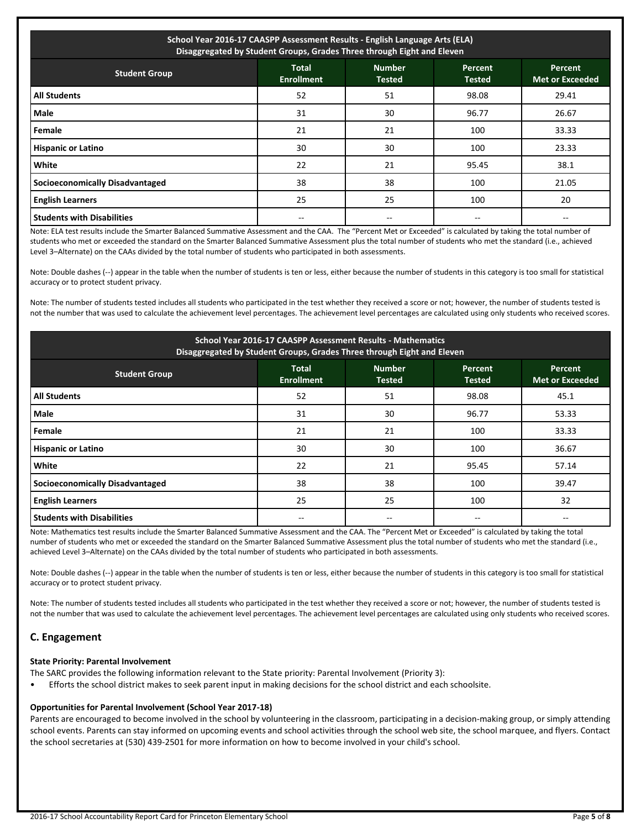| School Year 2016-17 CAASPP Assessment Results - English Language Arts (ELA)<br>Disaggregated by Student Groups, Grades Three through Eight and Eleven |                                   |                                |                                 |                                          |  |  |
|-------------------------------------------------------------------------------------------------------------------------------------------------------|-----------------------------------|--------------------------------|---------------------------------|------------------------------------------|--|--|
| <b>Student Group</b>                                                                                                                                  | <b>Total</b><br><b>Enrollment</b> | <b>Number</b><br><b>Tested</b> | <b>Percent</b><br><b>Tested</b> | <b>Percent</b><br><b>Met or Exceeded</b> |  |  |
| <b>All Students</b>                                                                                                                                   | 52                                | 51                             | 98.08                           | 29.41                                    |  |  |
| Male                                                                                                                                                  | 31                                | 30                             | 96.77                           | 26.67                                    |  |  |
| Female                                                                                                                                                | 21                                | 21                             | 100                             | 33.33                                    |  |  |
| <b>Hispanic or Latino</b>                                                                                                                             | 30                                | 30                             | 100                             | 23.33                                    |  |  |
| <b>White</b>                                                                                                                                          | 22                                | 21                             | 95.45                           | 38.1                                     |  |  |
| Socioeconomically Disadvantaged                                                                                                                       | 38                                | 38                             | 100                             | 21.05                                    |  |  |
| <b>English Learners</b>                                                                                                                               | 25                                | 25                             | 100                             | 20                                       |  |  |
| <b>Students with Disabilities</b>                                                                                                                     |                                   |                                |                                 |                                          |  |  |

Note: ELA test results include the Smarter Balanced Summative Assessment and the CAA. The "Percent Met or Exceeded" is calculated by taking the total number of students who met or exceeded the standard on the Smarter Balanced Summative Assessment plus the total number of students who met the standard (i.e., achieved Level 3–Alternate) on the CAAs divided by the total number of students who participated in both assessments.

Note: Double dashes (--) appear in the table when the number of students is ten or less, either because the number of students in this category is too small for statistical accuracy or to protect student privacy.

Note: The number of students tested includes all students who participated in the test whether they received a score or not; however, the number of students tested is not the number that was used to calculate the achievement level percentages. The achievement level percentages are calculated using only students who received scores.

| School Year 2016-17 CAASPP Assessment Results - Mathematics<br>Disaggregated by Student Groups, Grades Three through Eight and Eleven |                                   |                                |                          |                                   |  |  |
|---------------------------------------------------------------------------------------------------------------------------------------|-----------------------------------|--------------------------------|--------------------------|-----------------------------------|--|--|
| <b>Student Group</b>                                                                                                                  | <b>Total</b><br><b>Enrollment</b> | <b>Number</b><br><b>Tested</b> | Percent<br><b>Tested</b> | Percent<br><b>Met or Exceeded</b> |  |  |
| <b>All Students</b>                                                                                                                   | 52                                | 51                             | 98.08                    | 45.1                              |  |  |
| Male                                                                                                                                  | 31                                | 30                             | 96.77                    | 53.33                             |  |  |
| Female                                                                                                                                | 21                                | 21                             | 100                      | 33.33                             |  |  |
| <b>Hispanic or Latino</b>                                                                                                             | 30                                | 30                             | 100                      | 36.67                             |  |  |
| White                                                                                                                                 | 22                                | 21                             | 95.45                    | 57.14                             |  |  |
| <b>Socioeconomically Disadvantaged</b>                                                                                                | 38                                | 38                             | 100                      | 39.47                             |  |  |
| <b>English Learners</b>                                                                                                               | 25                                | 25                             | 100                      | 32                                |  |  |
| <b>Students with Disabilities</b>                                                                                                     |                                   |                                |                          |                                   |  |  |

Note: Mathematics test results include the Smarter Balanced Summative Assessment and the CAA. The "Percent Met or Exceeded" is calculated by taking the total number of students who met or exceeded the standard on the Smarter Balanced Summative Assessment plus the total number of students who met the standard (i.e., achieved Level 3–Alternate) on the CAAs divided by the total number of students who participated in both assessments.

Note: Double dashes (--) appear in the table when the number of students is ten or less, either because the number of students in this category is too small for statistical accuracy or to protect student privacy.

Note: The number of students tested includes all students who participated in the test whether they received a score or not; however, the number of students tested is not the number that was used to calculate the achievement level percentages. The achievement level percentages are calculated using only students who received scores.

## **C. Engagement**

#### **State Priority: Parental Involvement**

- The SARC provides the following information relevant to the State priority: Parental Involvement (Priority 3):
- Efforts the school district makes to seek parent input in making decisions for the school district and each schoolsite.

#### **Opportunities for Parental Involvement (School Year 2017-18)**

Parents are encouraged to become involved in the school by volunteering in the classroom, participating in a decision-making group, or simply attending school events. Parents can stay informed on upcoming events and school activities through the school web site, the school marquee, and flyers. Contact the school secretaries at (530) 439-2501 for more information on how to become involved in your child's school.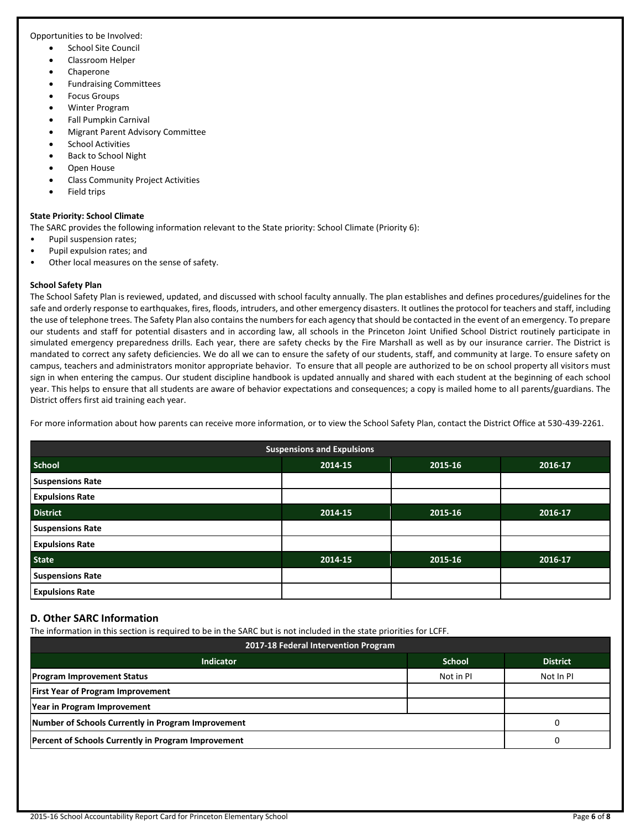Opportunities to be Involved:

- School Site Council
- Classroom Helper
- Chaperone
- Fundraising Committees
- Focus Groups
- Winter Program
- Fall Pumpkin Carnival
- Migrant Parent Advisory Committee
- School Activities
- Back to School Night
- Open House
- Class Community Project Activities
- Field trips

## **State Priority: School Climate**

The SARC provides the following information relevant to the State priority: School Climate (Priority 6):

- Pupil suspension rates;
- Pupil expulsion rates; and
- Other local measures on the sense of safety.

## **School Safety Plan**

The School Safety Plan is reviewed, updated, and discussed with school faculty annually. The plan establishes and defines procedures/guidelines for the safe and orderly response to earthquakes, fires, floods, intruders, and other emergency disasters. It outlines the protocol for teachers and staff, including the use of telephone trees. The Safety Plan also contains the numbers for each agency that should be contacted in the event of an emergency. To prepare our students and staff for potential disasters and in according law, all schools in the Princeton Joint Unified School District routinely participate in simulated emergency preparedness drills. Each year, there are safety checks by the Fire Marshall as well as by our insurance carrier. The District is mandated to correct any safety deficiencies. We do all we can to ensure the safety of our students, staff, and community at large. To ensure safety on campus, teachers and administrators monitor appropriate behavior. To ensure that all people are authorized to be on school property all visitors must sign in when entering the campus. Our student discipline handbook is updated annually and shared with each student at the beginning of each school year. This helps to ensure that all students are aware of behavior expectations and consequences; a copy is mailed home to all parents/guardians. The District offers first aid training each year.

For more information about how parents can receive more information, or to view the School Safety Plan, contact the District Office at 530-439-2261.

| <b>Suspensions and Expulsions</b> |         |         |         |  |  |
|-----------------------------------|---------|---------|---------|--|--|
| <b>School</b>                     | 2014-15 | 2015-16 | 2016-17 |  |  |
| <b>Suspensions Rate</b>           |         |         |         |  |  |
| <b>Expulsions Rate</b>            |         |         |         |  |  |
| <b>District</b>                   | 2014-15 | 2015-16 | 2016-17 |  |  |
| <b>Suspensions Rate</b>           |         |         |         |  |  |
| <b>Expulsions Rate</b>            |         |         |         |  |  |
| <b>State</b>                      | 2014-15 | 2015-16 | 2016-17 |  |  |
| <b>Suspensions Rate</b>           |         |         |         |  |  |
| <b>Expulsions Rate</b>            |         |         |         |  |  |

## **D. Other SARC Information**

The information in this section is required to be in the SARC but is not included in the state priorities for LCFF.

| 2017-18 Federal Intervention Program                       |               |                 |  |  |  |
|------------------------------------------------------------|---------------|-----------------|--|--|--|
| <b>Indicator</b>                                           | <b>School</b> | <b>District</b> |  |  |  |
| <b>Program Improvement Status</b>                          | Not in PI     | Not In PI       |  |  |  |
| <b>First Year of Program Improvement</b>                   |               |                 |  |  |  |
| Year in Program Improvement                                |               |                 |  |  |  |
| Number of Schools Currently in Program Improvement         | 0             |                 |  |  |  |
| <b>Percent of Schools Currently in Program Improvement</b> |               |                 |  |  |  |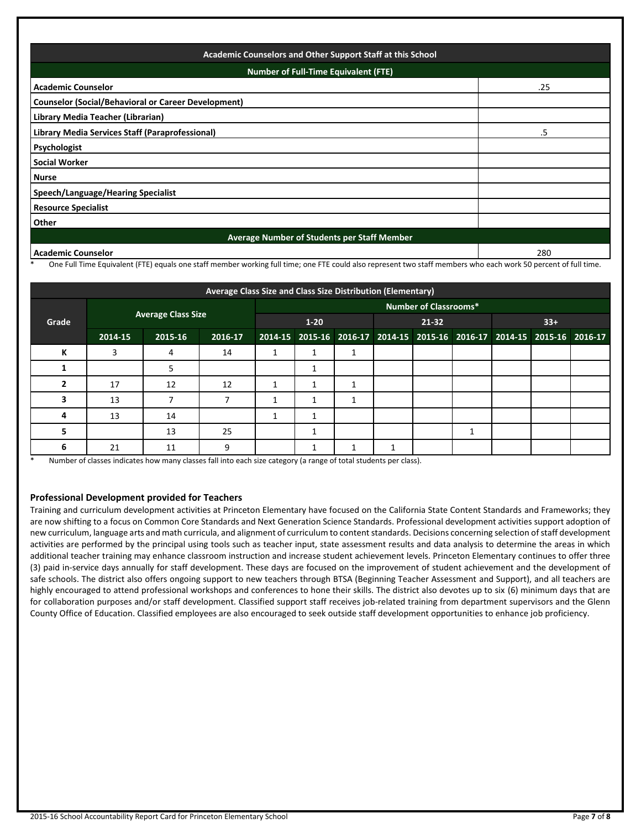| Academic Counselors and Other Support Staff at this School<br><b>Number of Full-Time Equivalent (FTE)</b> |     |  |  |  |
|-----------------------------------------------------------------------------------------------------------|-----|--|--|--|
|                                                                                                           |     |  |  |  |
| <b>Counselor (Social/Behavioral or Career Development)</b>                                                |     |  |  |  |
| Library Media Teacher (Librarian)                                                                         |     |  |  |  |
| Library Media Services Staff (Paraprofessional)                                                           | .5  |  |  |  |
| Psychologist                                                                                              |     |  |  |  |
| <b>Social Worker</b>                                                                                      |     |  |  |  |
| <b>Nurse</b>                                                                                              |     |  |  |  |
| <b>Speech/Language/Hearing Specialist</b>                                                                 |     |  |  |  |
| <b>Resource Specialist</b>                                                                                |     |  |  |  |
| Other                                                                                                     |     |  |  |  |
| Average Number of Students per Staff Member                                                               |     |  |  |  |
| <b>Academic Counselor</b>                                                                                 | 280 |  |  |  |

One Full Time Equivalent (FTE) equals one staff member working full time; one FTE could also represent two staff members who each work 50 percent of full time.

| Average Class Size and Class Size Distribution (Elementary) |         |                              |         |       |  |       |                                                                         |  |  |  |  |  |
|-------------------------------------------------------------|---------|------------------------------|---------|-------|--|-------|-------------------------------------------------------------------------|--|--|--|--|--|
|                                                             |         | <b>Number of Classrooms*</b> |         |       |  |       |                                                                         |  |  |  |  |  |
| <b>Average Class Size</b><br>Grade                          |         | $1 - 20$                     |         | 21-32 |  | $33+$ |                                                                         |  |  |  |  |  |
|                                                             | 2014-15 | 2015-16                      | 2016-17 |       |  |       | 2014-15 2015-16 2016-17 2014-15 2015-16 2016-17 2014-15 2015-16 2016-17 |  |  |  |  |  |
| К                                                           | 3       |                              | 14      | 1     |  |       |                                                                         |  |  |  |  |  |
|                                                             |         |                              |         |       |  |       |                                                                         |  |  |  |  |  |
|                                                             | 17      | 12                           | 12      |       |  |       |                                                                         |  |  |  |  |  |
| 3                                                           | 13      |                              |         |       |  |       |                                                                         |  |  |  |  |  |
| 4                                                           | 13      | 14                           |         |       |  |       |                                                                         |  |  |  |  |  |
| 5                                                           |         | 13                           | 25      |       |  |       |                                                                         |  |  |  |  |  |
| 6                                                           | 21      | 11                           | 9       |       |  |       | -1                                                                      |  |  |  |  |  |

Number of classes indicates how many classes fall into each size category (a range of total students per class).

## **Professional Development provided for Teachers**

Training and curriculum development activities at Princeton Elementary have focused on the California State Content Standards and Frameworks; they are now shifting to a focus on Common Core Standards and Next Generation Science Standards. Professional development activities support adoption of new curriculum, language arts and math curricula, and alignment of curriculum to content standards. Decisions concerning selection of staff development activities are performed by the principal using tools such as teacher input, state assessment results and data analysis to determine the areas in which additional teacher training may enhance classroom instruction and increase student achievement levels. Princeton Elementary continues to offer three (3) paid in-service days annually for staff development. These days are focused on the improvement of student achievement and the development of safe schools. The district also offers ongoing support to new teachers through BTSA (Beginning Teacher Assessment and Support), and all teachers are highly encouraged to attend professional workshops and conferences to hone their skills. The district also devotes up to six (6) minimum days that are for collaboration purposes and/or staff development. Classified support staff receives job-related training from department supervisors and the Glenn County Office of Education. Classified employees are also encouraged to seek outside staff development opportunities to enhance job proficiency.